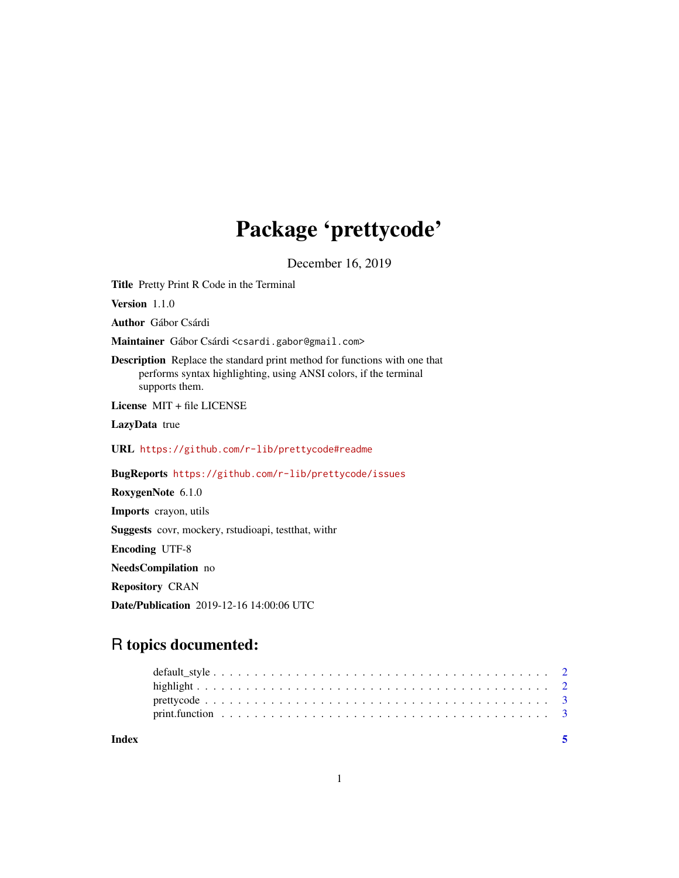# Package 'prettycode'

December 16, 2019

Title Pretty Print R Code in the Terminal

Version 1.1.0

Author Gábor Csárdi

Maintainer Gábor Csárdi <csardi.gabor@gmail.com>

Description Replace the standard print method for functions with one that performs syntax highlighting, using ANSI colors, if the terminal supports them.

License MIT + file LICENSE

LazyData true

URL <https://github.com/r-lib/prettycode#readme>

BugReports <https://github.com/r-lib/prettycode/issues>

RoxygenNote 6.1.0

Imports crayon, utils

Suggests covr, mockery, rstudioapi, testthat, withr

Encoding UTF-8

NeedsCompilation no

Repository CRAN

Date/Publication 2019-12-16 14:00:06 UTC

# R topics documented:

| Index |  |  |  |  |  |  |  |  |  |  |  |  |  |  |  |  |  |  |  |
|-------|--|--|--|--|--|--|--|--|--|--|--|--|--|--|--|--|--|--|--|
|       |  |  |  |  |  |  |  |  |  |  |  |  |  |  |  |  |  |  |  |
|       |  |  |  |  |  |  |  |  |  |  |  |  |  |  |  |  |  |  |  |
|       |  |  |  |  |  |  |  |  |  |  |  |  |  |  |  |  |  |  |  |
|       |  |  |  |  |  |  |  |  |  |  |  |  |  |  |  |  |  |  |  |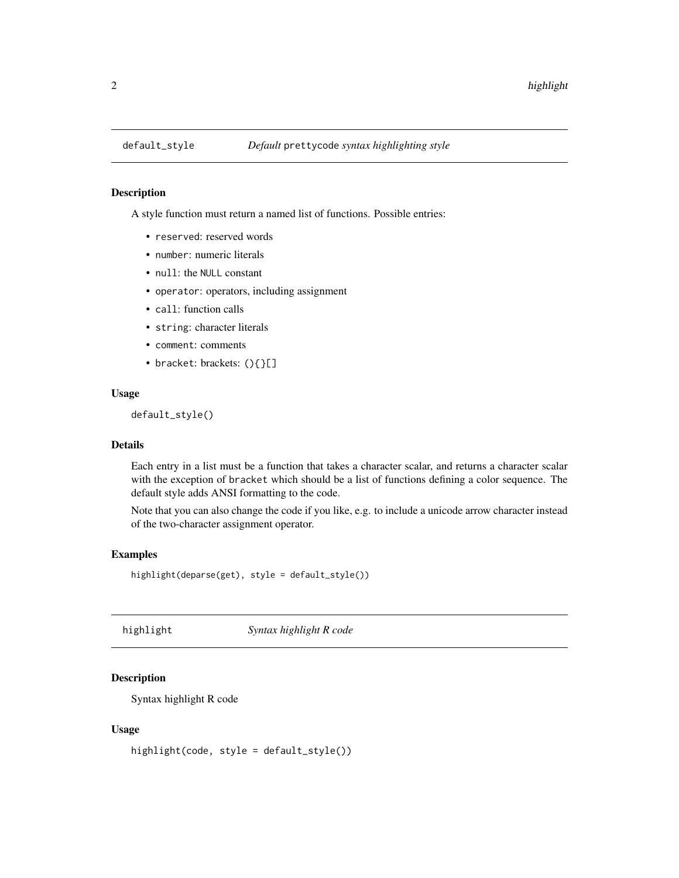# Description

A style function must return a named list of functions. Possible entries:

- reserved: reserved words
- number: numeric literals
- null: the NULL constant
- operator: operators, including assignment
- call: function calls
- string: character literals
- comment: comments
- bracket: brackets: (){}[]

## Usage

default\_style()

# Details

Each entry in a list must be a function that takes a character scalar, and returns a character scalar with the exception of bracket which should be a list of functions defining a color sequence. The default style adds ANSI formatting to the code.

Note that you can also change the code if you like, e.g. to include a unicode arrow character instead of the two-character assignment operator.

# Examples

highlight(deparse(get), style = default\_style())

highlight *Syntax highlight R code*

# Description

Syntax highlight R code

#### Usage

highlight(code, style = default\_style())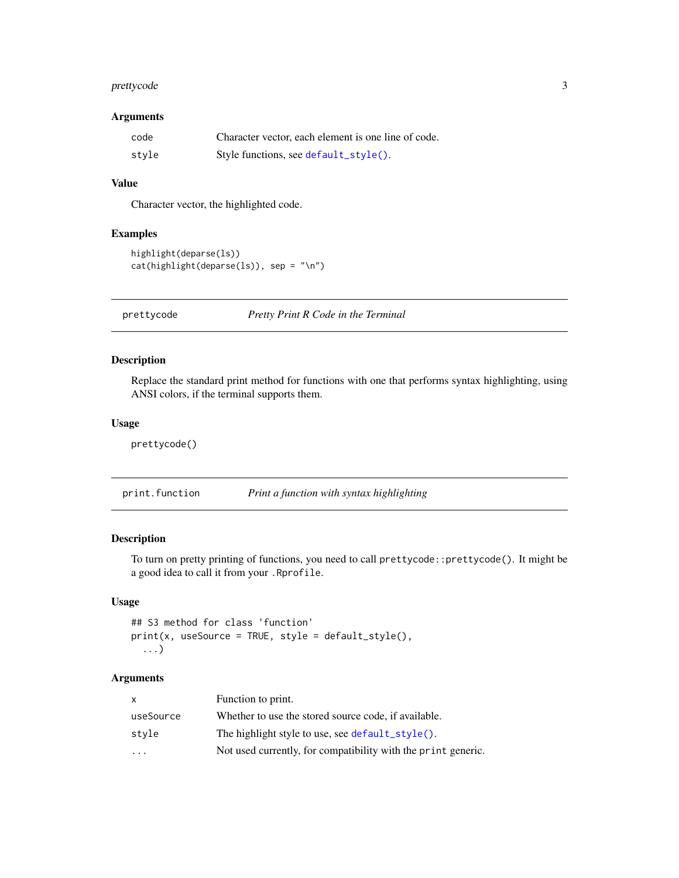# <span id="page-2-0"></span>prettycode 3

# Arguments

| code  | Character vector, each element is one line of code. |
|-------|-----------------------------------------------------|
| stvle | Style functions, see default_style().               |

# Value

Character vector, the highlighted code.

# Examples

```
highlight(deparse(ls))
cat(highlight(deparse(ls)), sep = "\\n")
```
prettycode *Pretty Print R Code in the Terminal*

# Description

Replace the standard print method for functions with one that performs syntax highlighting, using ANSI colors, if the terminal supports them.

## Usage

prettycode()

print.function *Print a function with syntax highlighting*

# Description

To turn on pretty printing of functions, you need to call prettycode::prettycode(). It might be a good idea to call it from your .Rprofile.

# Usage

## S3 method for class 'function'  $print(x, useSource = TRUE, style = defaultstyle(),$ ...)

# Arguments

| x         | Function to print.                                            |
|-----------|---------------------------------------------------------------|
| useSource | Whether to use the stored source code, if available.          |
| stvle     | The highlight style to use, see default_style().              |
| $\ddotsc$ | Not used currently, for compatibility with the print generic. |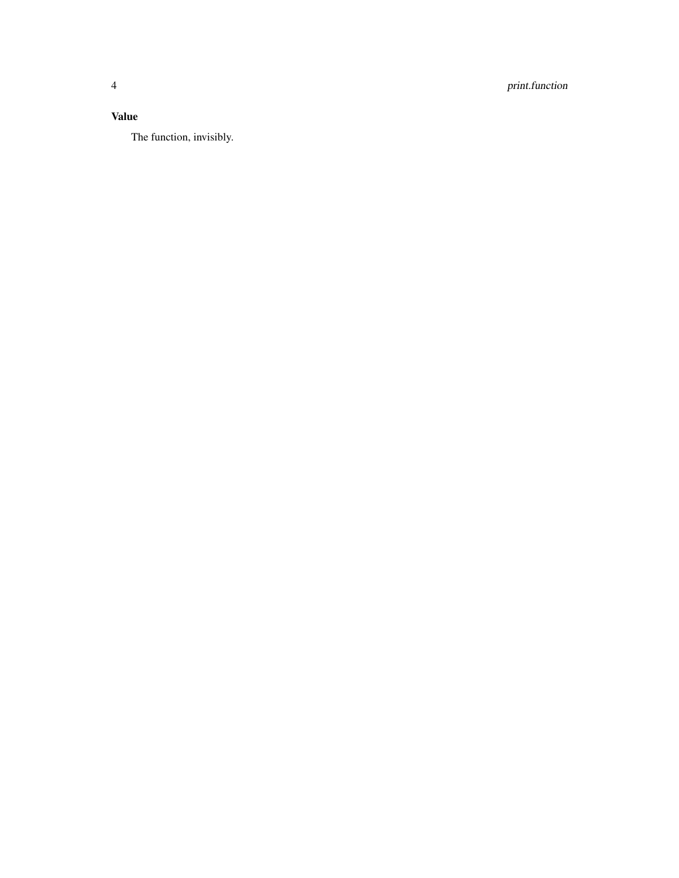4 print.function

# Value

The function, invisibly.